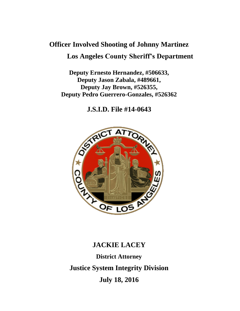# **Officer Involved Shooting of Johnny Martinez Los Angeles County Sheriff's Department**

**Deputy Ernesto Hernandez, #506633, Deputy Jason Zabala, #489661, Deputy Jay Brown, #526355, Deputy Pedro Guerrero-Gonzales, #526362** 

**J.S.I.D. File #14-0643**



# **JACKIE LACEY District Attorney Justice System Integrity Division July 18, 2016**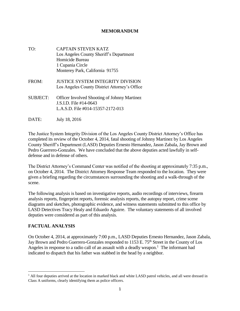#### **MEMORANDUM**

- TO: CAPTAIN STEVEN KATZ Los Angeles County Sheriff's Department Homicide Bureau 1 Cupania Circle Monterey Park, California 91755
- FROM: JUSTICE SYSTEM INTEGRITY DIVISION Los Angeles County District Attorney's Office
- SUBJECT: Officer Involved Shooting of Johnny Martinez J.S.I.D. File #14-0643 L.A.S.D. File #014-15357-2172-013
- DATE: July 18, 2016

The Justice System Integrity Division of the Los Angeles County District Attorney's Office has completed its review of the October 4, 2014, fatal shooting of Johnny Martinez by Los Angeles County Sheriff's Department (LASD) Deputies Ernesto Hernandez, Jason Zabala, Jay Brown and Pedro Guerrero-Gonzales. We have concluded that the above deputies acted lawfully in selfdefense and in defense of others.

The District Attorney's Command Center was notified of the shooting at approximately 7:35 p.m., on October 4, 2014. The District Attorney Response Team responded to the location. They were given a briefing regarding the circumstances surrounding the shooting and a walk-through of the scene.

The following analysis is based on investigative reports, audio recordings of interviews, firearm analysis reports, fingerprint reports, forensic analysis reports, the autopsy report, crime scene diagrams and sketches, photographic evidence, and witness statements submitted to this office by LASD Detectives Tracy Healy and Eduardo Aguirre. The voluntary statements of all involved deputies were considered as part of this analysis.

## **FACTUAL ANALYSIS**

On October 4, 2014, at approximately 7:00 p.m., LASD Deputies Ernesto Hernandez, Jason Zabala, Jay Brown and Pedro Guerrero-Gonzales responded to 1153 E. 75<sup>th</sup> Street in the County of Los Angeles in response to a radio call of an assault with a deadly weapon.<sup>1</sup> The informant had indicated to dispatch that his father was stabbed in the head by a neighbor.

<sup>&</sup>lt;sup>1</sup> All four deputies arrived at the location in marked black and white LASD patrol vehicles, and all were dressed in Class A uniforms, clearly identifying them as police officers.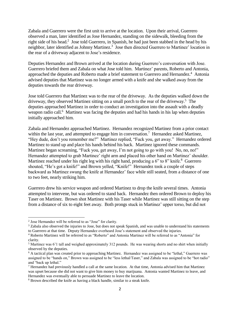Zabala and Guerrero were the first unit to arrive at the location. Upon their arrival, Guerrero observed a man, later identified as Jose Hernandez, standing on the sidewalk, bleeding from the right side of his head.<sup>2</sup> Jose told Guerrero, in Spanish, he had just been stabbed in the head by his neighbor, later identified as Johnny Martinez.<sup>3</sup> Jose then directed Guerrero to Martinez' location in the rear of a driveway adjacent to Jose's residence.

Deputies Hernandez and Brown arrived at the location during Guerrero's conversation with Jose. Guerrero briefed them and Zabala on what Jose told him. Martinez' parents, Roberto and Antonia, approached the deputies and Roberto made a brief statement to Guerrero and Hernandez.<sup>4</sup> Antonia advised deputies that Martinez was no longer armed with a knife and she walked away from the deputies towards the rear driveway.

Jose told Guerrero that Martinez was to the rear of the driveway. As the deputies walked down the driveway, they observed Martinez sitting on a small porch to the rear of the driveway.<sup>5</sup> The deputies approached Martinez in order to conduct an investigation into the assault with a deadly weapon radio call.<sup>6</sup> Martinez was facing the deputies and had his hands in his lap when deputies initially approached him.

Zabala and Hernandez approached Martinez. Hernandez recognized Martinez from a prior contact within the last year, and attempted to engage him in conversation.<sup>7</sup> Hernandez asked Martinez, "Hey dude, don't you remember me?" Martinez replied, "Fuck you, get away." Hernandez ordered Martinez to stand up and place his hands behind his back. Martinez ignored these commands. Martinez began screaming, "Fuck you, get away, I'm not going to go with you! No, no, no!" Hernandez attempted to grab Martinez' right arm and placed his other hand on Martinez' shoulder. Martinez reached under his right leg with his right hand, producing a 6" to 8" knife.<sup>8</sup> Guerrero shouted, "He's got a knife!" and Brown yelled, "Knife!" Hernandez took a couple of steps backward as Martinez swung the knife at Hernandez' face while still seated, from a distance of one to two feet, nearly striking him.

Guerrero drew his service weapon and ordered Martinez to drop the knife several times. Antonia attempted to intervene, but was ordered to stand back. Hernandez then ordered Brown to deploy his Taser on Martinez. Brown shot Martinez with his Taser while Martinez was still sitting on the step from a distance of six to eight feet away. Both prongs stuck in Martinez' upper torso, but did not

<sup>&</sup>lt;sup>2</sup> Jose Hernandez will be referred to as "Jose" for clarity.

<sup>&</sup>lt;sup>3</sup> Zabala also observed the injuries to Jose, but does not speak Spanish, and was unable to understand his statements to Guerrero at that time. Deputy Hernandez overheard Jose's statement and observed the injuries.

<sup>4</sup> Roberto Martinez will be referred to as "Roberto" and Antonia Martinez will be referred to as "Antonia" for clarity.

<sup>5</sup> Martinez was 6'1 tall and weighed approximately 312 pounds. He was wearing shorts and no shirt when initially observed by the deputies.

<sup>&</sup>lt;sup>6</sup> A tactical plan was created prior to approaching Martinez. Hernandez was assigned to be "lethal," Guerrero was assigned to be "hands on," Brown was assigned to be "less lethal/Taser," and Zabala was assigned to be "hot radio" and "back up lethal."

<sup>&</sup>lt;sup>7</sup> Hernandez had previously handled a call at the same location. At that time, Antonia advised him that Martinez was upset because she did not want to give him money to buy marijuana. Antonia wanted Martinez to leave, and Hernandez was eventually able to persuade Martinez to leave the location.

<sup>8</sup> Brown described the knife as having a black handle, similar to a steak knife.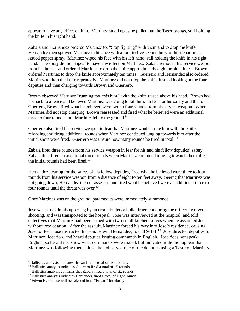appear to have any effect on him. Martinez stood up as he pulled out the Taser prongs, still holding the knife in his right hand.

Zabala and Hernandez ordered Martinez to, "Stop fighting" with them and to drop the knife. Hernandez then sprayed Martinez in his face with a four to five second burst of his department issued pepper spray. Martinez wiped his face with his left hand, still holding the knife in his right hand. The spray did not appear to have any effect on Martinez. Zabala removed his service weapon from his holster and ordered Martinez to drop the knife approximately eight or nine times. Brown ordered Martinez to drop the knife approximately ten times. Guerrero and Hernandez also ordered Martinez to drop the knife repeatedly. Martinez did not drop the knife, instead looking at the four deputies and then charging towards Brown and Guerrero.

Brown observed Martinez "running towards him," with the knife raised above his head. Brown had his back to a fence and believed Martinez was going to kill him. In fear for his safety and that of Guerrero, Brown fired what he believed were two to four rounds from his service weapon. When Martinez did not stop charging, Brown reassessed and fired what he believed were an additional three to four rounds until Martinez fell to the ground.<sup>9</sup>

Guerrero also fired his service weapon in fear that Martinez would strike him with the knife, reloading and firing additional rounds when Martinez continued lunging towards him after the initial shots were fired. Guerrero was unsure how many rounds he fired in total.<sup>10</sup>

Zabala fired three rounds from his service weapon in fear for his and his fellow deputies' safety. Zabala then fired an additional three rounds when Martinez continued moving towards them after the initial rounds had been fired.<sup>11</sup>

Hernandez, fearing for the safety of his fellow deputies, fired what he believed were three to four rounds from his service weapon from a distance of eight to ten feet away. Seeing that Martinez was not going down, Hernandez then re-assessed and fired what he believed were an additional three to four rounds until the threat was over.<sup>12</sup>

Once Martinez was on the ground, paramedics were immediately summoned.

Jose was struck in his upper leg by an errant bullet or bullet fragment during the officer involved shooting, and was transported to the hospital. Jose was interviewed at the hospital, and told detectives that Martinez had been armed with two small kitchen knives when he assaulted Jose without provocation. After the assault, Martinez forced his way into Jose's residence, causing Jose to flee. Jose instructed his son, Edwin Hernandez, to call 9-1-1.<sup>13</sup> Jose directed deputies to Martinez' location, and heard deputies issuing commands in English. Jose does not speak English, so he did not know what commands were issued, but indicated it did not appear that Martinez was following them. Jose then observed one of the deputies using a Taser on Martinez.

<sup>9</sup> Ballistics analysis indicates Brown fired a total of five rounds.

<sup>&</sup>lt;sup>10</sup> Ballistics analysis indicates Guerrero fired a total of 15 rounds.

<sup>&</sup>lt;sup>11</sup> Ballistics analysis confirms that Zabala fired a total of six rounds.

<sup>&</sup>lt;sup>12</sup> Ballistics analysis indicates Hernandez fired a total of eight rounds.

<sup>&</sup>lt;sup>13</sup> Edwin Hernandez will be referred to as "Edwin" for clarity.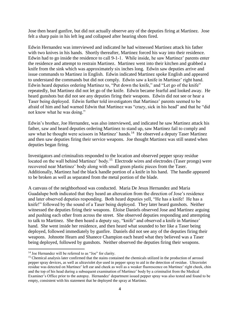Jose then heard gunfire, but did not actually observe any of the deputies firing at Martinez. Jose felt a sharp pain in his left leg and collapsed after hearing shots fired.

Edwin Hernandez was interviewed and indicated he had witnessed Martinez attack his father with two knives in his hands. Shortly thereafter, Martinez forced his way into their residence. Edwin had to go inside the residence to call 9-1-1. While inside, he saw Martinez' parents enter the residence and attempt to restrain Martinez. Martinez went into their kitchen and grabbed a knife from the sink which was approximately six inches long. Edwin saw deputies arrive and issue commands to Martinez in English. Edwin indicated Martinez spoke English and appeared to understand the commands but did not comply. Edwin saw a knife in Martinez' right hand. Edwin heard deputies ordering Martinez to, "Put down the knife," and "Let go of the knife" repeatedly, but Martinez did not let go of the knife. Edwin became fearful and looked away. He heard gunshots but did not see any deputies firing their weapons. Edwin did not see or hear a Taser being deployed. Edwin further told investigators that Martinez' parents seemed to be afraid of him and had warned Edwin that Martinez was "crazy, sick in his head" and that he "did not know what he was doing."

Edwin's brother, Joe Hernandez, was also interviewed, and indicated he saw Martinez attack his father, saw and heard deputies ordering Martinez to stand up, saw Martinez fail to comply and saw what he thought were scissors in Martinez' hands.<sup>14</sup> He observed a deputy Taser Martinez and then saw deputies firing their service weapons. Joe thought Martinez was still seated when deputies began firing.

Investigators and criminalists responded to the location and observed pepper spray residue located on the wall behind Martinez' body.<sup>15</sup> Electrode wires and electrodes (Taser prongs) were recovered near Martinez' body along with small green plastic pieces from the Taser. Additionally, Martinez had the black handle portion of a knife in his hand. The handle appeared to be broken as well as separated from the metal portion of the blade.

A canvass of the neighborhood was conducted. Maria De Jesus Hernandez and Maria Guadalupe both indicated that they heard an altercation from the direction of Jose's residence and later observed deputies responding. Both heard deputies yell, "He has a knife! He has a knife!" followed by the sound of a Taser being deployed. They later heard gunshots. Neither witnessed the deputies firing their weapons. Eloise Daniels observed Jose and Martinez arguing and pushing each other from across the street. She observed deputies responding and attempting to talk to Martinez. She then heard a deputy say, "knife" and observed a knife in Martinez' hand. She went inside her residence, and then heard what sounded to her like a Taser being deployed, followed immediately by gunfire. Daniels did not see any of the deputies firing their weapons. Johnotte Hearn and Shanece Champion each heard what they believed was a Taser being deployed, followed by gunshots. Neither observed the deputies firing their weapons.

<sup>&</sup>lt;sup>14</sup> Joe Hernandez will be referred to as "Joe" for clarity.

<sup>&</sup>lt;sup>15</sup> Chemical analysis later confirmed that the stains contained the chemicals utilized in the production of aerosol pepper spray devices, as well as ultraviolet dye used in pepper spray to aid in the detection of residue. Ultraviolet residue was detected on Martinez' left ear and cheek as well as a weaker fluorescence on Martinez' right cheek, chin and the top of his head during a subsequent examination of Martinez' body by a criminalist from the Medical Examiner's Office prior to the autopsy. Hernandez' department issued pepper spray was also tested and found to be empty, consistent with his statement that he deployed the spray at Martinez.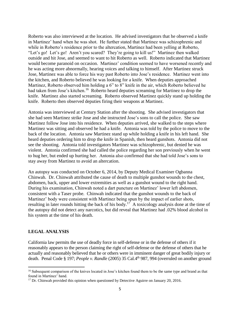Roberto was also interviewed at the location. He advised investigators that he observed a knife in Martinez' hand when he was shot. He further stated that Martinez was schizophrenic and while in Roberto's residence prior to the altercation, Martinez had been yelling at Roberto, "Let's go! Let's go! Aren't you scared? They're going to kill us!" Martinez then walked outside and hit Jose, and seemed to want to hit Roberto as well. Roberto indicated that Martinez would become paranoid on occasion. Martinez' condition seemed to have worsened recently and he was acting more abnormally, hearing voices and talking to himself. After Martinez struck Jose, Martinez was able to force his way past Roberto into Jose's residence. Martinez went into the kitchen, and Roberto believed he was looking for a knife. When deputies approached Martinez, Roberto observed him holding a 6" to 8" knife in the air, which Roberto believed he had taken from Jose's kitchen.<sup>16</sup> Roberto heard deputies screaming for Martinez to drop the knife. Martinez also started screaming. Roberto observed Martinez quickly stand up holding the knife. Roberto then observed deputies firing their weapons at Martinez.

Antonia was interviewed at Century Station after the shooting. She advised investigators that she had seen Martinez strike Jose and she instructed Jose's sons to call the police. She saw Martinez follow Jose into his residence. When deputies arrived, she walked to the steps where Martinez was sitting and observed he had a knife. Antonia was told by the police to move to the back of the location. Antonia saw Martinez stand up while holding a knife in his left hand. She heard deputies ordering him to drop the knife in Spanish, then heard gunshots. Antonia did not see the shooting. Antonia told investigators Martinez was schizophrenic, but denied he was violent. Antonia confirmed she had called the police regarding her son previously when he went to hug her, but ended up hurting her. Antonia also confirmed that she had told Jose's sons to stay away from Martinez to avoid an altercation.

An autopsy was conducted on October 6, 2014, by Deputy Medical Examiner Ogbanna Chinwah. Dr. Chinwah attributed the cause of death to multiple gunshot wounds to the chest, abdomen, back, upper and lower extremities as well as a gunshot wound to the right hand. During his examination, Chinwah noted a dart puncture on Martinez' lower left abdomen, consistent with a Taser probe. Chinwah indicated that the gunshot wounds to the back of Martinez' body were consistent with Martinez being spun by the impact of earlier shots, resulting in later rounds hitting the back of his body.<sup>17</sup> A toxicology analysis done at the time of the autopsy did not detect any narcotics, but did reveal that Martinez had .02% blood alcohol in his system at the time of his death.

#### **LEGAL ANALYSIS**

California law permits the use of deadly force in self-defense or in the defense of others if it reasonably appears to the person claiming the right of self-defense or the defense of others that he actually and reasonably believed that he or others were in imminent danger of great bodily injury or death. Penal Code § 197; *People v. Randle* (2005) 35 Cal.4th 987, 994 (overruled on another ground

<sup>&</sup>lt;sup>16</sup> Subsequent comparison of the knives located in Jose's kitchen found them to be the same type and brand as that found in Martinez' hand.

<sup>&</sup>lt;sup>17</sup> Dr. Chinwah provided this opinion when questioned by Detective Aguirre on January 20, 2016.